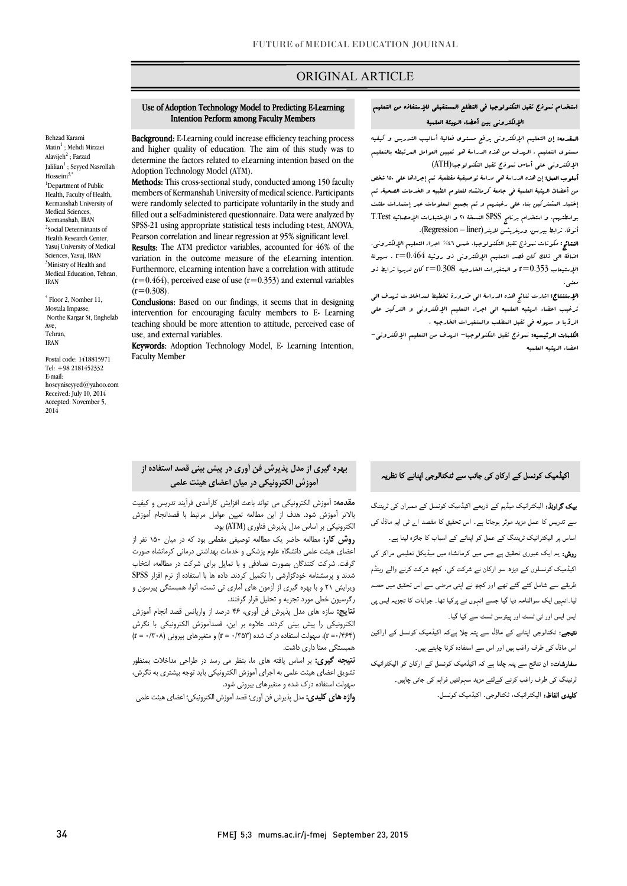## ORIGINAL ARTICLE

# استخدام نموذج تقبل التکنولوجیا فی التطلع المستقبلی للإستفاذه من التعلیم الإلکترونی بین أعضاء الهیئۀ العلمیۀ

Ī

 المقدمه: إن التعلیم الإلکترونی یرفع مستوي فعالیۀ أسالیب التدریس و کیفیه مستوى التعلیم . الرسوف من هذه الدراسۀ هو تعیین العوامل العرتبطه بالتعلیم<br>مستوى التعلیم . الإلکترونی علی أساس نموذج تقبل التکنولوجیا(ATH (

ر<br>**أسلوب العمل:** إن هذه الدراسة ه<sub>ی</sub> دراسة توصیفیة مقطعیة، تـم إجراءها علی ۱۵۰ شخص من أعضائ الهئیۀ العلمیۀ فی جامعۀ کرمانشاه للعلوم الطبیه و الخدمات الصحیۀ. تم إختیار المشترکین بناء علی رغبتهم و تم بجمیع المعلومات عبر إستمارات ملئت بواسطتهم، و استخدام برنامج SPSS النسخۀ 21 و الإختبارات الإحصائیه Test.T أنوفا، ترابط بیرس، وریغریشن لاینر(Regression – liner).

ا**لنتائج:** مکونات نبوذج تقبل التکنولوجیا، خس**س \*45 اجراء التعلی**م الإلکترونی،<br>مصرف التحادی الإستیعاب 0.353=r و المتغیرات الخارجیه 0.308=r کان لدیها ترابط ذو اضافۀ الی ذلک کان قصد التعلیم الإلکترونی ذو روئیۀ 0.464=r ، سهولۀ معنی.

 الإستنتاج: اشارت نتائج هذه الدراسۀ الی ضرورة تخطیط لمداخلات تهدف الی ترغیب اعضاء الهئیه العلمیه الی اجراء التعلیم الإلکترونی و الترکیز علی الرؤیا و سهوله فی تقبل المطلب والمتغیرات الخارجیه .

 الکلمات الرئیسیه: نموذج تقبل التکنولوجیا- الهدف من التعلیم الإلکترونی- اعضاء الهئیه العلمیه

#### Use of Adoption Technology Model to Predicting E-Learning Intention Perform among Faculty Members

i

 Background: E-Learning could increase efficiency teaching process determine the factors related to eLearning intention based on the and higher quality of education. The aim of this study was to Adoption Technology Model (ATM).

 members of Kermanshah University of medical science. Participants were randomly selected to participate voluntarily in the study and filled out a self-administered questionnaire. Data were analyzed by Pearson correlation and linear regression at 95% significant level. Methods: This cross-sectional study, conducted among 150 faculty SPSS-21 using appropriate statistical tests including t-test, ANOVA,

 Results: The ATM predictor variables, accounted for 46% of the Furthermore, eLearning intention have a correlation with attitude  $(r=0.464)$ , perceived ease of use  $(r=0.353)$  and external variables variation in the outcome measure of the eLearning intention.  $(r=0.308)$ .

(r=0.508).<br>**Conclusions:** Based on our findings, it seems that in designing intervention for encouraging faculty members to E- Learning teaching should be more attention to attitude, perceived ease of use, and external variables.

use, and external variables.<br>Keywords: Adoption Technology Model, E- Learning Intention, Faculty Member

# بهره گیري از مدل پذیرش فن آوري در پیش بینی قصد استفاده از آموزش الکترونیکی در میان اعضاي هیئت علمی

 مقدمه: آموزش الکترونیکی می تواند باعث افزایش کارآمدي فرآیند تدریس و کیفیت الکترونیکی بر اساس مدل پذیرش فناوري (ATM (بود. بالاتر آموزش شود. هدف از این مطالعه تعیین عوامل مرتبط با قصدانجام آموزش

 روش کار: مطالعه حاضر یک مطالعه توصیفی مقطعی بود که در میان 150 نفر از اعضاي هیئت علمی دانشگاه علوم پزشکی و خدمات بهداشتی درمانی کرمانشاه صورت گرفت. شرکت کنندگان بصورت تصادفی و با تمایل براي شرکت در مطالعه، انتخاب ویرایش 21 و با بهره گیري از آزمون هاي آماري تی تست، آنوا، همبستگی پیرسون و رگرسیون خطی مورد تجزیه و تحلیل قرار گرفتند. شدند و پرسشنامه خودگزارشی را تکمیل کردند. داده ها با استفاده از نرم افزار SPSS

 نتایج: سازه هاي مدل پذیرش فن آوري، 46 درصد از واریانس قصد انجام آموزش الکترونیکی را پیش بینی کردند. علاوه بر این، قصدآموزش الکترونیکی با نگرش (p = ·/۳۰۸)، سهولت استفاده درک شده (n = ·/۳۵۳) و متغیرهای بیرونی (۲۰۰۸) = r<br>همستگی مطلطات داشت همبستگی معنا داري داشت.

 نتیجه گیري: بر اساس یافته هاي ما، بنظر می رسد در طراحی مداخلات بمنظور تشویق اعضاي هیئت علمی به اجراي آموزش الکترونیکی باید توجه بیشتري به نگرش، سهولت استفاده درک شده و متغیرهای بیرونی شود.<br>.

**واژه هاي کليدي:** مدل پذيرش فن آوري؛ قصد آموزش الکترونیکي؛ اعضاي هيئت علمي<br>-

اکیڈمیک کونسل کے ارکان کی جانب سے ٹنکنالوجی اپنانے کا نظریہ

**یپک گراونڈ:** الیکٹرانیک میڈیم کے ذریعے اکیڈمیک کونسل کے ممبران ک*ی ٹر*یننگ سے تدریس کا عمل مزید موثر ہوجاتا ہے۔ اس تحقیق کا مقصد ا<sub>ے</sub> ٹی ایم ماڈل کی اساس پر الیکٹرانیک ٹریننگ کے عمل کو اپنانے کے اسباب کا جائزہ لینا ہے۔

**روش:** یہ ایک عبوری تحقیق ہے جس میں کرمانشاہ میں میڈیکل تعلیمی مراکز کی اکیڈمیک کونسلوں کے دیڑھ سو ارکان نے شرکت کی، کچھ شرکت کرنے والے رینڈم ل<sub>ح</sub>ریقے سے شامل کئے گئے تھے اور کچھ نے اپنی مرضی سے اس تحقیق میں حصہ ۔<br>لیا ـ انہیں ایک سوالنامہ دیا گیا جسے انہوں نے پرکیا تھا۔ جوابات کا تجزیہ ایس پی ایس ایس اور ٹی ٹسٹ اور پیئرسن ٹسٹ سے کیا گیا۔

۔<br>**نتیجے:** ٹکنالوجی اپنانے کے ماڈل سے پتہ چلا ہےکہ اکیڈمیک کونسل کے اراکین اس ماڈل کی طرف راغب ہیں اور اس سے استفادہ کرنا چاہتے ہیں۔

**سفارشات:** ان نتائج سے پتہ چلتا ہے کہ اکیڈمیک کونسل کے ارکان کو الیکٹرانیک ۔<br>لرنینگ کی طرف راغب کرنے کےلئے مزید سہولتیں فراہم کی جانی چاہیں۔ ۔<br>**کلیدی الفاظ:** الیکٹرانیک، ٹکنالوجی۔ اکیڈمیک کونسل۔

\* Floor 2, Nomber 11, Mostala Impasse, Northe Kargar St, Enghelab Ave, Tehran, IRAN

Postal code: 1418815971 Tel: +98 2181452332 E-mail: hoseyniseyyed@yahoo.com Received: July 10, 2014 Accepted: November 5, 2014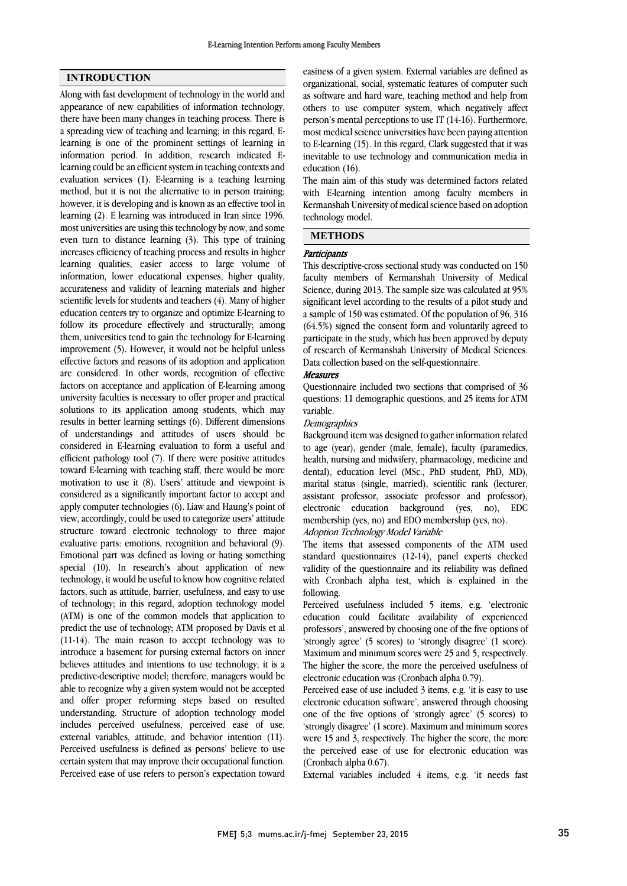## INTRODUCTION

Along with fast development of technology in the world and appearance of new capabilities of information technology, there have been many changes in teaching process. There is a spreading view of teaching and learning; in this regard, Elearning is one of the prominent settings of learning in information period. In addition, research indicated Elearning could be an efficient system in teaching contexts and evaluation services (1). E-learning is a teaching learning method, but it is not the alternative to in person training; however, it is developing and is known as an effective tool in learning (2). E learning was introduced in Iran since 1996, most universities are using this technology by now, and some even turn to distance learning (3). This type of training increases efficiency of teaching process and results in higher learning qualities, easier access to large volume of information, lower educational expenses, higher quality, accurateness and validity of learning materials and higher scientific levels for students and teachers (4). Many of higher education centers try to organize and optimize E-learning to follow its procedure effectively and structurally; among them, universities tend to gain the technology for E-learning improvement (5). However, it would not be helpful unless effective factors and reasons of its adoption and application are considered. In other words, recognition of effective factors on acceptance and application of E-learning among university faculties is necessary to offer proper and practical solutions to its application among students, which may results in better learning settings (6). Different dimensions of understandings and attitudes of users should be considered in E-learning evaluation to form a useful and efficient pathology tool (7). If there were positive attitudes toward E-learning with teaching staff, there would be more motivation to use it (8). Users' attitude and viewpoint is considered as a significantly important factor to accept and apply computer technologies (6). Liaw and Haung's point of view, accordingly, could be used to categorize users' attitude structure toward electronic technology to three major evaluative parts: emotions, recognition and behavioral (9). Emotional part was defined as loving or hating something special (10). In research's about application of new technology, it would be useful to know how cognitive related factors, such as attitude, barrier, usefulness, and easy to use of technology; in this regard, adoption technology model (ATM) is one of the common models that application to predict the use of technology; ATM proposed by Davis et al (11-14). The main reason to accept technology was to introduce a basement for pursing external factors on inner believes attitudes and intentions to use technology; it is a predictive-descriptive model; therefore, managers would be able to recognize why a given system would not be accepted and offer proper reforming steps based on resulted understanding. Structure of adoption technology model includes perceived usefulness, perceived ease of use, external variables, attitude, and behavior intention (11). Perceived usefulness is defined as persons' believe to use certain system that may improve their occupational function. Perceived ease of use refers to person's expectation toward  easiness of a given system. External variables are defined as organizational, social, systematic features of computer such as software and hard ware, teaching method and help from others to use computer system, which negatively affect most medical science universities have been paying attention to E-learning (15). In this regard, Clark suggested that it was inevitable to use technology and communication media in education (16). person's mental perceptions to use IT (14-16). Furthermore,

with E-learning intention among faculty members in Kermanshah University of medical science based on adoption technology model. The main aim of this study was determined factors related

## METHODS

# Participants

j .<br>.

 This descriptive-cross sectional study was conducted on 150 faculty members of Kermanshah University of Medical Science, during 2013. The sample size was calculated at 95% a sample of 150 was estimated. Of the population of 96, 316 (64.5%) signed the consent form and voluntarily agreed to participate in the study, which has been approved by deputy of research of Kermanshah University of Medical Sciences. significant level according to the results of a pilot study and Data collection based on the self-questionnaire.

## Measures

 Questionnaire included two sections that comprised of 36 questions: 11 demographic questions, and 25 items for ATM variable.

# varianic.<br>*Demographics*

Background item was designed to gather information related to age (year), gender (male, female), faculty (paramedics, health, nursing and midwifery, pharmacology, medicine and dental), education level (MSc., PhD student, PhD, MD), assistant professor, associate professor and professor), electronic education background (yes, no), EDC membership (yes, no) and EDO membership (yes, no). marital status (single, married), scientific rank (lecturer,

## Adoption Technology Model Variable

 standard questionnaires (12-14), panel experts checked validity of the questionnaire and its reliability was defined with Cronbach alpha test, which is explained in the following. The items that assessed components of the ATM used

 education could facilitate availability of experienced professors', answered by choosing one of the five options of 'strongly agree' (5 scores) to 'strongly disagree' (1 score). Maximum and minimum scores were 25 and 5, respectively. electronic education was (Cronbach alpha 0.79). Perceived usefulness included 5 items, e.g. 'electronic The higher the score, the more the perceived usefulness of

 Perceived ease of use included 3 items, e.g. 'it is easy to use electronic education software', answered through choosing one of the five options of 'strongly agree' (5 scores) to were 15 and 3, respectively. The higher the score, the more the perceived ease of use for electronic education was (Cronbach alpha 0.67). 'strongly disagree' (1 score). Maximum and minimum scores

External variables included 4 items, e.g. 'it needs fast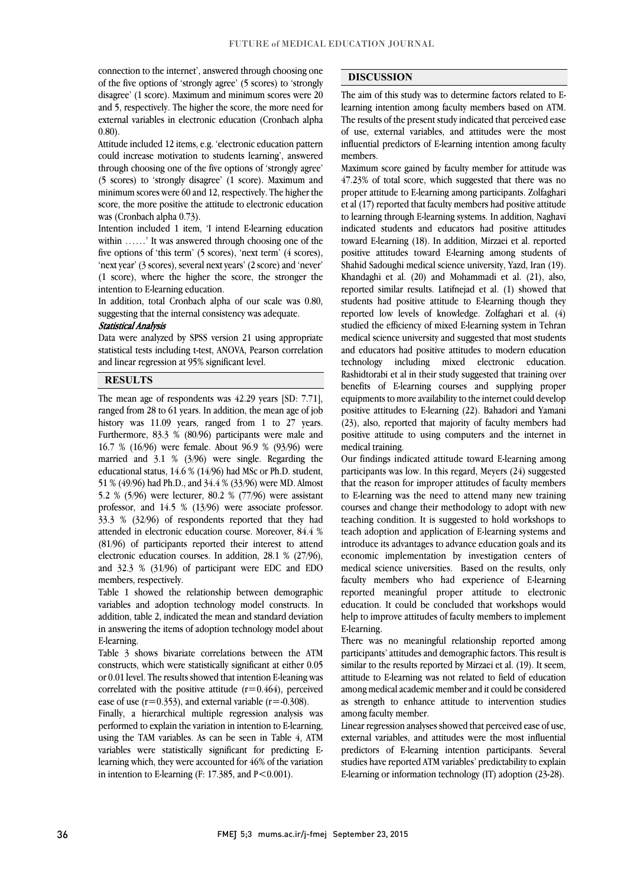connection to the internet', answered through choosing one of the five options of 'strongly agree' (5 scores) to 'strongly disagree' (1 score). Maximum and minimum scores were 20 and 5, respectively. The higher the score, the more need for external variables in electronic education (Cronbach alpha)<br>0.80) 0.80).

 Attitude included 12 items, e.g. 'electronic education pattern could increase motivation to students learning', answered through choosing one of the five options of 'strongly agree' minimum scores were 60 and 12, respectively. The higher the score, the more positive the attitude to electronic education (5 scores) to 'strongly disagree' (1 score). Maximum and was (Cronbach alpha 0.73).

 Intention included 1 item, 'I intend E-learning education five options of 'this term' (5 scores), 'next term' (4 scores), 'next year' (3 scores), several next years' (2 score) and 'never' (1 score), where the higher the score, the stronger the within ……' It was answered through choosing one of the intention to E-learning education.

 In addition, total Cronbach alpha of our scale was 0.80, suggesting that the internal consistency was adequate.

### Statistical Analysis

 Data were analyzed by SPSS version 21 using appropriate statistical tests including t-test, ANOVA, Pearson correlation <u>.</u> and linear regression at 95% significant level.

֦

### **RESULTS**

 The mean age of respondents was 42.29 years [SD: 7.71], history was 11.09 years, ranged from 1 to 27 years. Furthermore, 83.3 % (80/96) participants were male and 16.7 % (16/96) were female. About 96.9 % (93/96) were married and 3.1 % (3/96) were single. Regarding the educational status,  $14.6\%$  ( $14/96$ ) had MSc or Ph.D. student, 5.2 % (5/96) were lecturer, 80.2 % (77/96) were assistant professor, and 14.5 % (13/96) were associate professor. 33.3 % (32/96) of respondents reported that they had  $(81/96)$  of participants reported their interest to attend electronic education courses. In addition, 28.1 % (27/96), and 32.3 % (31/96) of participant were EDC and EDO ranged from 28 to 61 years. In addition, the mean age of job 51 % (49/96) had Ph.D., and 34.4 % (33/96) were MD. Almost attended in electronic education course. Moreover, 84.4 % members, respectively.

 Table 1 showed the relationship between demographic addition, table 2, indicated the mean and standard deviation in answering the items of adoption technology model about variables and adoption technology model constructs. In E-learning.

 constructs, which were statistically significant at either 0.05 or 0.01 level. The results showed that intention E-leaning was correlated with the positive attitude  $(r=0.464)$ , perceived ease of use  $(r=0.353)$ , and external variable  $(r=.0.308)$ . Table 3 shows bivariate correlations between the ATM

 Finally, a hierarchical multiple regression analysis was using the TAM variables. As can be seen in Table 4, ATM variables were statistically significant for predicting E- learning which, they were accounted for 46% of the variation in intention to E-learning (F: 17.385, and  $P < 0.001$ ). performed to explain the variation in intention to E-learning,

## DISCUSSION

 The aim of this study was to determine factors related to E- learning intention among faculty members based on ATM. of use, external variables, and attitudes were the most influential predictors of E-learning intention among faculty The results of the present study indicated that perceived ease members.

֦ ֦

 Maximum score gained by faculty member for attitude was proper attitude to E-learning among participants. Zolfaghari et al (17) reported that faculty members had positive attitude to learning through E-learning systems. In addition, Naghavi indicated students and educators had positive attitudes positive attitudes toward E-learning among students of Shahid Sadoughi medical science university, Yazd, Iran (19). Khandaghi et al. (20) and Mohammadi et al. (21), also, students had positive attitude to E-learning though they reported low levels of knowledge. Zolfaghari et al. (4) studied the efficiency of mixed E-learning system in Tehran medical science university and suggested that most students and educators had positive attitudes to modern education Rashidtorabi et al in their study suggested that training over benefits of E-learning courses and supplying proper equipments to more availability to the internet could develop  $(23)$ , also, reported that majority of faculty members had positive attitude to using computers and the internet in 47.23% of total score, which suggested that there was no toward E-learning (18). In addition, Mirzaei et al. reported reported similar results. Latifnejad et al. (1) showed that technology including mixed electronic education. positive attitudes to E-learning (22). Bahadori and Yamani medical training.

 Our findings indicated attitude toward E-learning among participants was low. In this regard, Meyers (24) suggested to E-learning was the need to attend many new training courses and change their methodology to adopt with new teaching condition. It is suggested to hold workshops to teach adoption and application of E-learning systems and economic implementation by investigation centers of medical science universities. Based on the results, only faculty members who had experience of E-learning reported meaningful proper attitude to electronic help to improve attitudes of faculty members to implement that the reason for improper attitudes of faculty members introduce its advantages to advance education goals and its education. It could be concluded that workshops would E-learning.

 There was no meaningful relationship reported among similar to the results reported by Mirzaei et al. (19). It seem, attitude to E-learning was not related to field of education among medical academic member and it could be considered as strength to enhance attitude to intervention studies participants' attitudes and demographic factors. This result is among faculty member.

 Linear regression analyses showed that perceived ease of use, external variables, and attitudes were the most influential predictors of E-learning intention participants. Several studies have reported ATM variables' predictability to explain E-learning or information technology (IT) adoption (23-28).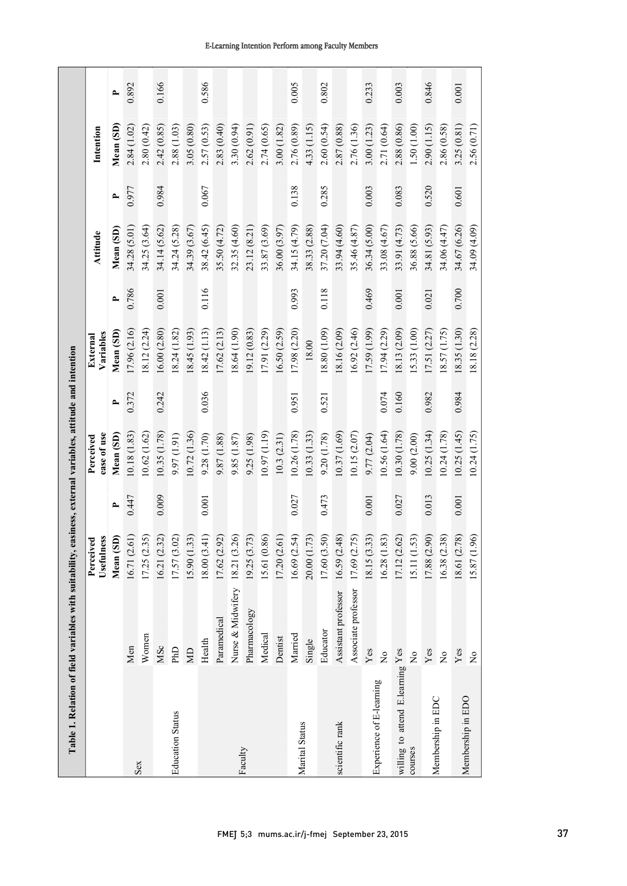|                                  |                     | Usefulness<br>Perceived |        | ease of use<br>Perceived |              | Variables<br>External |                          | Attitude     |       | Intention   |              |
|----------------------------------|---------------------|-------------------------|--------|--------------------------|--------------|-----------------------|--------------------------|--------------|-------|-------------|--------------|
|                                  |                     | Mean (SD)               | $\sim$ | Mean (SD)                | $\mathbf{r}$ | Mean (SD)             | $\overline{\phantom{a}}$ | Mean (SD)    | ٩     | Mean (SD)   | $\mathbf{r}$ |
|                                  | Men                 | 16.71 (2.61)            | 0.447  | 10.18(1.83)              | 0.372        | 17.96 (2.16)          | 0.786                    | 34.28 (5.01) | 0.977 | 2.84(1.02)  | 0.892        |
| Sex                              | Women               | 17.25(2.35)             |        | (0.62(1.62))             |              | (8.12(2.24)           |                          | 34.25 (3.64) |       | 2.80(0.42)  |              |
|                                  | MSc                 | 16.21 (2.32)            | 0.009  | 10.35 (1.78)             | 0.242        | 16.00(2.80)           | 0.001                    | 34.14 (5.62) | 0.984 | 2.42(0.85)  | 0.166        |
| <b>Education Status</b>          | <b>Crud</b>         | 17.57(3.02)             |        | 9.97 (1.91)              |              | (8.24)(1.82)          |                          | 34.24(5.28)  |       | 2.88(1.03)  |              |
|                                  | $\overline{M}$      | (5.90(1.33))            |        | 10.72(1.36)              |              | 18.45 (1.93)          |                          | 34.39 (3.67) |       | 3.05(0.80)  |              |
|                                  | Health              | (14.60(3.41))           | 0.001  | 9.28 (1.70)              | 0.036        | 18.42(1.13)           | 0.116                    | 38.42 (6.45) | 0.067 | 2.57 (0.53) | 0.586        |
|                                  | Paramedical         | 17.62 (2.92)            |        | 9.87 (1.88)              |              | 17.62(2.13)           |                          | 35.50 (4.72) |       | 2.83(0.40)  |              |
|                                  | Nurse & Midwifery   | 18.21 (3.26)            |        | 9.85 (1.87)              |              | 18.64(1.90)           |                          | 32.35 (4.60) |       | 3.30(0.94)  |              |
| Faculty                          | Pharmacology        | 19.25 (3.73)            |        | 9.25 (1.98)              |              | 19.12 (0.83)          |                          | 23.12(8.21)  |       | 2.62(0.91)  |              |
|                                  | Medical             | [5.61 (0.86)            |        | (61.19)                  |              | 17.91(2.29)           |                          | 33.87 (3.69) |       | 2.74(0.65)  |              |
|                                  | Dentist             | (7.20(2.61))            |        | 10.3(2.31)               |              | 16.50(2.59)           |                          | 36.00(3.97)  |       | 3.00(1.82)  |              |
|                                  | Married             | 16.69(2.54)             | 0.027  | 10.26 (1.78)             | 0.951        | 17.98 (2.20)          | 0.993                    | 34.15 (4.79) | 0.138 | 2.76 (0.89) | 0.005        |
| Marital Status                   | Single              | 20.00 (1.73)            |        | 10.33(1.33)              |              | 18.00                 |                          | 38.33 (2.88) |       | 4.33(1.15)  |              |
|                                  | Educator            | 17.60 (3.50)            | 0.473  | 9.20 (1.78)              | 0.521        | (8.80)(1.09)          | 0.118                    | 37.20 (7.04) | 0.285 | 2.60(0.54)  | 0.802        |
| scientific rank                  | Assistant professor | 16.59(2.48)             |        | 10.37 (1.69)             |              | 18.16 (2.09)          |                          | 33.94 (4.60) |       | 2.87 (0.88) |              |
|                                  | Associate professor | 17.69 (2.75)            |        | (0.15(2.07))             |              | 16.92 (2.46)          |                          | 35.46(4.87)  |       | 2.76 (1.36) |              |
|                                  | Yes                 | 8.15 (3.33)             | 0.001  | 9.77(2.04)               |              | 17.59 (1.99)          | 0.469                    | 36.34 (5.00) | 0.003 | 3.00(1.23)  | 0.233        |
| Experience of E-learning         | $\overline{R}$      | 16.28(1.83)             |        | 10.56(1.64)              | 0.074        | 17.94 (2.29)          |                          | 33.08 (4.67) |       | 2.71 (0.64) |              |
| willing to attend E.learning Yes |                     | 17.12(2.62)             | 0.027  | 10.30 (1.78)             | 0.160        | 18.13 (2.09)          | 0.001                    | 33.91 (4.73) | 0.083 | 2.88 (0.86) | 0.003        |
| courses                          | $\frac{1}{2}$       | .5.11(1.53)             |        | 9.00(2.00)               |              | (5.33)(1.00)          |                          | 36.88 (5.66) |       | 1.50(1.00)  |              |
| Membership in EDC                | $Y$ es              | 17.88 (2.90)            | 0.013  | 10.25(1.34)              | 0.982        | 17.51(2.27)           | 0.021                    | 34.81 (5.93) | 0.520 | 2.90(1.15)  | 0.846        |
|                                  | $\frac{1}{2}$       | 16.38 (2.38)            |        | (0.24(1.78))             |              | 18.57(1.75)           |                          | 34.06 (4.47) |       | 2.86 (0.58) |              |
| Membership in EDO                | Yes                 | 18.61 (2.78)            | 0.001  | 10.25(1.45)              | 0.984        | 18.35 (1.30)          | 0.700                    | 34.67 (6.26) | 0.601 | 3.25(0.81)  | 0.001        |
|                                  | $\overline{R}$      | 15.87 (1.96)            |        | 10.24 (1.75)             |              | 18.18 (2.28)          |                          | 34.09 (4.09) |       | 2.56 (0.71) |              |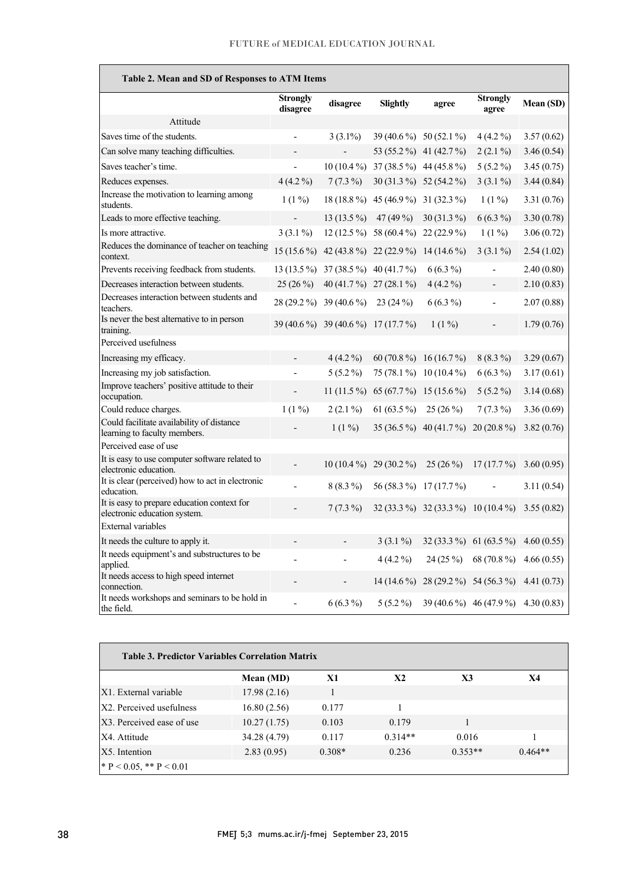| Table 2. Mean and SD of Responses to ATM Items                              |                          |                                     |                                                 |                                     |                          |            |
|-----------------------------------------------------------------------------|--------------------------|-------------------------------------|-------------------------------------------------|-------------------------------------|--------------------------|------------|
|                                                                             | Strongly<br>disagree     | disagree                            | <b>Slightly</b>                                 | agree                               | <b>Strongly</b><br>agree | Mean (SD)  |
| Attitude                                                                    |                          |                                     |                                                 |                                     |                          |            |
| Saves time of the students.                                                 |                          | $3(3.1\%)$                          |                                                 | $39(40.6\%)$ 50 (52.1 %)            | $4(4.2\%)$               | 3.57(0.62) |
| Can solve many teaching difficulties.                                       |                          |                                     |                                                 | 53 (55.2 %) 41 (42.7 %)             | $2(2.1\%)$               | 3.46(0.54) |
| Saves teacher's time.                                                       | $\frac{1}{2}$            | $10(10.4\%)$                        | 37 (38.5 %) 44 (45.8 %)                         |                                     | $5(5.2\%)$               | 3.45(0.75) |
| Reduces expenses.                                                           | $4(4.2\%)$               | $7(7.3\%)$                          | 30 (31.3 %) 52 (54.2 %)                         |                                     | $3(3.1\%)$               | 3.44(0.84) |
| Increase the motivation to learning among<br>students.                      | $1(1\%)$                 |                                     | 18 (18.8 %) 45 (46.9 %) 31 (32.3 %)             |                                     | $1(1\%)$                 | 3.31(0.76) |
| Leads to more effective teaching.                                           | $\overline{\phantom{a}}$ | $13(13.5\%)$                        | 47 (49 %)                                       | $30(31.3\%)$                        | $6(6.3\%)$               | 3.30(0.78) |
| Is more attractive.                                                         | $3(3.1\%)$               |                                     | 12 (12.5 %) 58 (60.4 %) 22 (22.9 %)             |                                     | $1(1\%)$                 | 3.06(0.72) |
| Reduces the dominance of teacher on teaching<br>context.                    |                          |                                     | 15 (15.6 %) 42 (43.8 %) 22 (22.9 %) 14 (14.6 %) |                                     | $3(3.1\%)$               | 2.54(1.02) |
| Prevents receiving feedback from students.                                  |                          |                                     | 13 (13.5 %) 37 (38.5 %) 40 (41.7 %)             | $6(6.3\%)$                          | $\overline{a}$           | 2.40(0.80) |
| Decreases interaction between students.                                     | $25(26\%)$               |                                     | 40 (41.7 %) 27 (28.1 %)                         | $4(4.2\%)$                          |                          | 2.10(0.83) |
| Decreases interaction between students and<br>teachers.                     |                          | 28 (29.2 %) 39 (40.6 %)             | $23(24\%)$                                      | $6(6.3\%)$                          |                          | 2.07(0.88) |
| Is never the best alternative to in person<br>training.                     |                          | 39 (40.6 %) 39 (40.6 %) 17 (17.7 %) |                                                 | $1(1\%)$                            |                          | 1.79(0.76) |
| Perceived usefulness                                                        |                          |                                     |                                                 |                                     |                          |            |
| Increasing my efficacy.                                                     |                          | $4(4.2\%)$                          | 60 (70.8 %) 16 (16.7 %)                         |                                     | $8(8.3\%)$               | 3.29(0.67) |
| Increasing my job satisfaction.                                             |                          | $5(5.2\%)$                          |                                                 | 75 (78.1 %) 10 (10.4 %)             | $6(6.3\%)$               | 3.17(0.61) |
| Improve teachers' positive attitude to their<br>occupation.                 |                          |                                     | 11 (11.5 %) 65 (67.7 %) 15 (15.6 %)             |                                     | $5(5.2\%)$               | 3.14(0.68) |
| Could reduce charges.                                                       | $1(1\%)$                 | $2(2.1\%)$                          | 61 (63.5 %) 25 (26 %)                           |                                     | $7(7.3\%)$               | 3.36(0.69) |
| Could facilitate availability of distance<br>learning to faculty members.   |                          | $1(1\%)$                            |                                                 | 35 (36.5 %) 40 (41.7 %) 20 (20.8 %) |                          | 3.82(0.76) |
| Perceived ease of use                                                       |                          |                                     |                                                 |                                     |                          |            |
| It is easy to use computer software related to<br>electronic education.     |                          |                                     | $10(10.4\%)$ 29 (30.2 %)                        | $25(26\%)$                          | $17(17.7\%)$             | 3.60(0.95) |
| It is clear (perceived) how to act in electronic<br>education.              |                          | $8(8.3\%)$                          |                                                 | 56 (58.3 %) 17 (17.7 %)             |                          | 3.11(0.54) |
| It is easy to prepare education context for<br>electronic education system. |                          | $7(7.3\%)$                          |                                                 | 32 (33.3 %) 32 (33.3 %) 10 (10.4 %) |                          | 3.55(0.82) |
| <b>External variables</b>                                                   |                          |                                     |                                                 |                                     |                          |            |
| It needs the culture to apply it.                                           |                          |                                     | $3(3.1\%)$                                      |                                     | 32 (33.3 %) 61 (63.5 %)  | 4.60(0.55) |
| It needs equipment's and substructures to be<br>applied.                    |                          |                                     | $4(4.2\%)$                                      | 24 (25 %)                           | 68 (70.8%)               | 4.66(0.55) |
| It needs access to high speed internet<br>connection.                       |                          | -                                   | $14(14.6\%)$                                    |                                     | 28 (29.2 %) 54 (56.3 %)  | 4.41(0.73) |
| It needs workshops and seminars to be hold in<br>the field.                 | $\overline{a}$           | $6(6.3\%)$                          | $5(5.2\%)$                                      |                                     | 39 (40.6 %) 46 (47.9 %)  | 4.30(0.83) |

| <b>Table 3. Predictor Variables Correlation Matrix</b> |              |          |           |           |           |  |  |
|--------------------------------------------------------|--------------|----------|-----------|-----------|-----------|--|--|
|                                                        | Mean (MD)    | X1       | X2        | X3        | X4        |  |  |
| X1. External variable                                  | 17.98(2.16)  |          |           |           |           |  |  |
| X2. Perceived usefulness                               | 16.80(2.56)  | 0.177    |           |           |           |  |  |
| X3. Perceived ease of use                              | 10.27(1.75)  | 0.103    | 0.179     |           |           |  |  |
| X4. Attitude                                           | 34.28 (4.79) | 0.117    | $0.314**$ | 0.016     |           |  |  |
| X5. Intention                                          | 2.83(0.95)   | $0.308*$ | 0.236     | $0.353**$ | $0.464**$ |  |  |
| $* \, P < 0.05, ** P < 0.01$                           |              |          |           |           |           |  |  |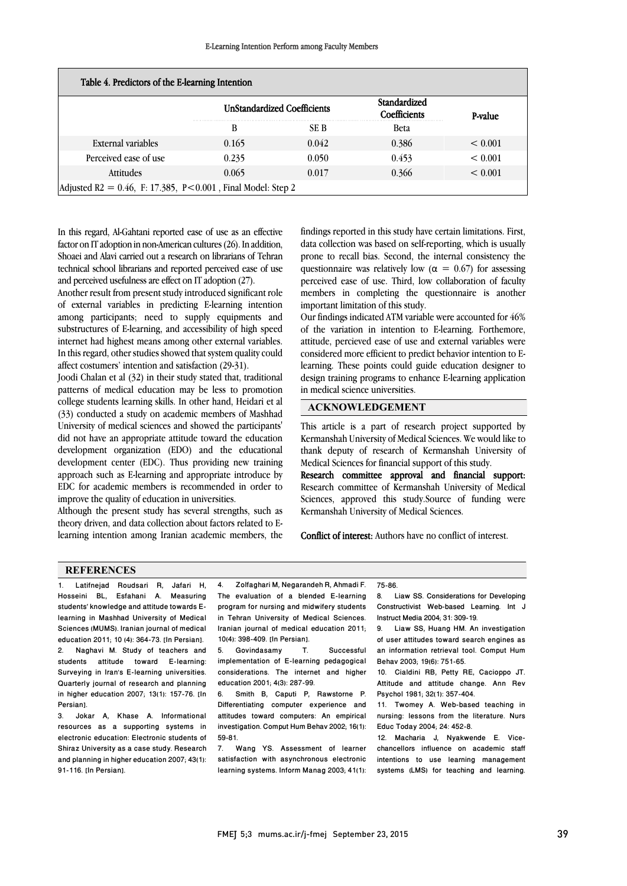| Table 4. Predictors of the E-learning Intention                |       | <b>UnStandardized Coefficients</b> | Standardized<br>Coefficients | P-value |  |  |  |
|----------------------------------------------------------------|-------|------------------------------------|------------------------------|---------|--|--|--|
|                                                                | B     | SE B                               | <b>Beta</b>                  |         |  |  |  |
| External variables                                             | 0.165 | 0.042                              | 0.386                        | < 0.001 |  |  |  |
| Perceived ease of use                                          | 0.235 | 0.050                              | 0.453                        | < 0.001 |  |  |  |
| Attitudes                                                      | 0.065 | 0.017                              | 0.366                        | < 0.001 |  |  |  |
| Adjusted R2 = $0.46$ , F: 17.385, P<0.001, Final Model: Step 2 |       |                                    |                              |         |  |  |  |

In this regard, Al-Gahtani reported ease of use as an effective factor on IT adoption in non-American cultures (26). In addition, Shoaei and Alavi carried out a research on librarians of Tehran technical school librarians and reported perceived ease of use and perceived usefulness are effect on IT adoption (27).

Another result from present study introduced significant role of external variables in predicting E-learning intention among participants; need to supply equipments and substructures of E-learning, and accessibility of high speed internet had highest means among other external variables. In this regard, other studies showed that system quality could affect costumers' intention and satisfaction (29-31).

Joodi Chalan et al (32) in their study stated that, traditional patterns of medical education may be less to promotion college students learning skills. In other hand, Heidari et al (33) conducted a study on academic members of Mashhad University of medical sciences and showed the participants' did not have an appropriate attitude toward the education development organization (EDO) and the educational development center (EDC). Thus providing new training approach such as E-learning and appropriate introduce by EDC for academic members is recommended in order to improve the quality of education in universities.

Although the present study has several strengths, such as theory driven, and data collection about factors related to Elearning intention among Iranian academic members, the findings reported in this study have certain limitations. First, data collection was based on self-reporting, which is usually prone to recall bias. Second, the internal consistency the questionnaire was relatively low ( $\alpha = 0.67$ ) for assessing perceived ease of use. Third, low collaboration of faculty members in completing the questionnaire is another important limitation of this study.

Our findings indicated ATM variable were accounted for 46% of the variation in intention to E-learning. Forthemore, attitude, percieved ease of use and external variables were considered more efficient to predict behavior intention to Elearning. These points could guide education designer to design training programs to enhance E-learning application in medical science universities.

### ACKNOWLEDGEMENT

This article is a part of research project supported by Kermanshah University of Medical Sciences. We would like to thank deputy of research of Kermanshah University of Medical Sciences for financial support of this study.

Research committee approval and financial support: Research committee of Kermanshah University of Medical Sciences, approved this study.Source of funding were Kermanshah University of Medical Sciences.

Conflict of interest: Authors have no conflict of interest.

75-86.

### **REFERENCES**

1. Latifnejad Roudsari R, Jafari H, Hosseini BL, Esfahani A. Measuring students' knowledge and attitude towards Elearning in Mashhad University of Medical Sciences (MUMS). Iranian journal of medical education 2011; 10 (4): 364-73. [In Persian]. 2. Naghavi M. Study of teachers and students attitude toward E-learning: Surveying in Iran's E-learning universities. Quarterly journal of research and planning in higher education 2007; 13(1): 157-76. [In Persian].

3. Jokar A, Khase A. Informational resources as a supporting systems in electronic education: Electronic students of Shiraz University as a case study. Research and planning in higher education 2007; 43(1): 91-116. [In Persian].

4. Zolfaghari M, Negarandeh R, Ahmadi F. The evaluation of a blended E-learning program for nursing and midwifery students in Tehran University of Medical Sciences. Iranian journal of medical education 2011; 10(4): 398-409. [In Persian].

.

5. Govindasamy T. Successful implementation of E-learning pedagogical considerations. The internet and higher education 2001; 4(3): 287-99.

6. Smith B, Caputi P, Rawstorne P. Differentiating computer experience and attitudes toward computers: An empirical investigation. Comput Hum Behav 2002; 16(1): 59-81.

7. Wang YS. Assessment of learner satisfaction with asynchronous electronic learning systems. Inform Manag 2003; 41(1): 8. Liaw SS. Considerations for Developing Constructivist Web-based Learning. Int J Instruct Media 2004; 31: 309-19.

9. Liaw SS, Huang HM. An investigation of user attitudes toward search engines as an information retrieval tool. Comput Hum Behav 2003; 19(6): 751-65.

10. Cialdini RB, Petty RE, Cacioppo JT. Attitude and attitude change. Ann Rev Psychol 1981; 32(1): 357-404.

11. Twomey A. Web-based teaching in nursing: lessons from the literature. Nurs Educ Today 2004; 24: 452-8.

12. Macharia J, Nyakwende E. Vicechancellors influence on academic staff intentions to use learning management systems (LMS) for teaching and learning.